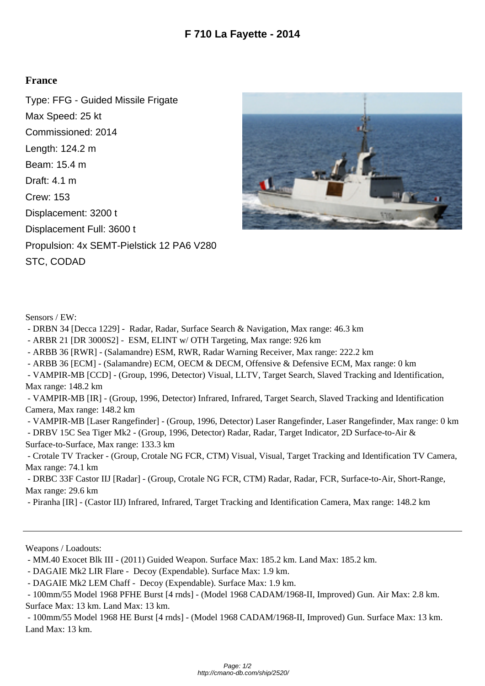## **France**

Type: FFG - Guided Missile Frigate Max Speed: 25 kt Commissioned: 2014 Length: 124.2 m Beam: 15.4 m Draft: 4.1 m Crew: 153 Displacement: 3200 t Displacement Full: 3600 t Propulsion: 4x SEMT-Pielstick 12 PA6 V280 STC, CODAD



Sensors / EW:

- DRBN 34 [Decca 1229] Radar, Radar, Surface Search & Navigation, Max range: 46.3 km
- ARBR 21 [DR 3000S2] ESM, ELINT w/ OTH Targeting, Max range: 926 km
- ARBB 36 [RWR] (Salamandre) ESM, RWR, Radar Warning Receiver, Max range: 222.2 km
- ARBB 36 [ECM] (Salamandre) ECM, OECM & DECM, Offensive & Defensive ECM, Max range: 0 km
- VAMPIR-MB [CCD] (Group, 1996, Detector) Visual, LLTV, Target Search, Slaved Tracking and Identification, Max range: 148.2 km

 - VAMPIR-MB [IR] - (Group, 1996, Detector) Infrared, Infrared, Target Search, Slaved Tracking and Identification Camera, Max range: 148.2 km

- VAMPIR-MB [Laser Rangefinder] - (Group, 1996, Detector) Laser Rangefinder, Laser Rangefinder, Max range: 0 km

 - DRBV 15C Sea Tiger Mk2 - (Group, 1996, Detector) Radar, Radar, Target Indicator, 2D Surface-to-Air & Surface-to-Surface, Max range: 133.3 km

 - Crotale TV Tracker - (Group, Crotale NG FCR, CTM) Visual, Visual, Target Tracking and Identification TV Camera, Max range: 74.1 km

 - DRBC 33F Castor IIJ [Radar] - (Group, Crotale NG FCR, CTM) Radar, Radar, FCR, Surface-to-Air, Short-Range, Max range: 29.6 km

- Piranha [IR] - (Castor IIJ) Infrared, Infrared, Target Tracking and Identification Camera, Max range: 148.2 km

Weapons / Loadouts:

- MM.40 Exocet Blk III - (2011) Guided Weapon. Surface Max: 185.2 km. Land Max: 185.2 km.

- DAGAIE Mk2 LIR Flare - Decoy (Expendable). Surface Max: 1.9 km.

 - 100mm/55 Model 1968 HE Burst [4 rnds] - (Model 1968 CADAM/1968-II, Improved) Gun. Surface Max: 13 km. Land Max: 13 km.

 <sup>-</sup> DAGAIE Mk2 LEM Chaff - Decoy (Expendable). Surface Max: 1.9 km.

 <sup>- 100</sup>mm/55 Model 1968 PFHE Burst [4 rnds] - (Model 1968 CADAM/1968-II, Improved) Gun. Air Max: 2.8 km. Surface Max: 13 km. Land Max: 13 km.